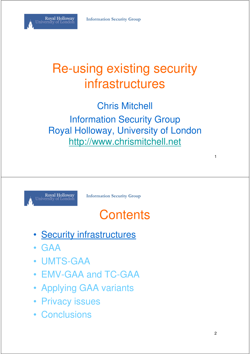

#### Re-using existing security infrastructures

Chris Mitchell Information Security Group Royal Holloway, University of London http://www.chrismitchell.net



**Information Security Group**

#### **Contents**

- **Security infrastructures**
- GAA
- UMTS-GAA
- EMV-GAA and TC-GAA
- Applying GAA variants
- Privacy issues
- Conclusions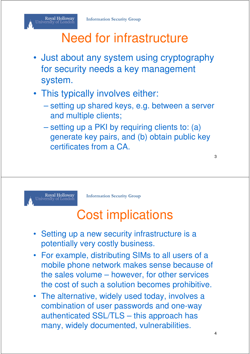#### Royal Holloway<br>University of London

#### Need for infrastructure

- Just about any system using cryptography for security needs a key management system.
- This typically involves either:
	- setting up shared keys, e.g. between a server and multiple clients;
	- setting up a PKI by requiring clients to: (a) generate key pairs, and (b) obtain public key certificates from a CA.



**Information Security Group**

#### Cost implications

- Setting up a new security infrastructure is a potentially very costly business.
- For example, distributing SIMs to all users of a mobile phone network makes sense because of the sales volume – however, for other services the cost of such a solution becomes prohibitive.
- The alternative, widely used today, involves a combination of user passwords and one-way authenticated SSL/TLS – this approach has many, widely documented, vulnerabilities.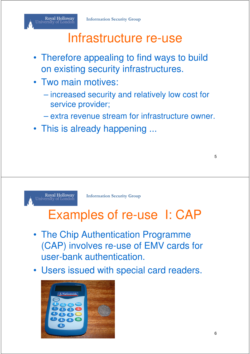#### Infrastructure re-use

- Therefore appealing to find ways to build on existing security infrastructures.
- Two main motives:
	- increased security and relatively low cost for service provider;
	- extra revenue stream for infrastructure owner.
- This is already happening ...



**Information Security Group**

#### Examples of re-use I: CAP

- The Chip Authentication Programme (CAP) involves re-use of EMV cards for user-bank authentication.
- Users issued with special card readers.

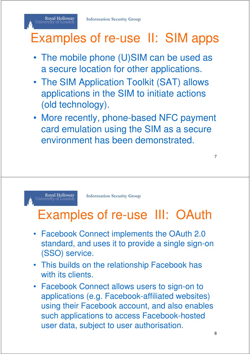#### Examples of re-use II: SIM apps

- The mobile phone (U)SIM can be used as a secure location for other applications.
- The SIM Application Toolkit (SAT) allows applications in the SIM to initiate actions (old technology).
- More recently, phone-based NFC payment card emulation using the SIM as a secure environment has been demonstrated.

7

Royal Holloway<br>University of London

Royal Holloway<br>University of London

**Information Security Group**

#### Examples of re-use III: OAuth

- Facebook Connect implements the OAuth 2.0 standard, and uses it to provide a single sign-on (SSO) service.
- This builds on the relationship Facebook has with its clients.
- Facebook Connect allows users to sign-on to applications (e.g. Facebook-affiliated websites) using their Facebook account, and also enables such applications to access Facebook-hosted user data, subject to user authorisation.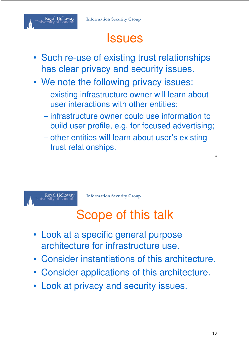

#### **Issues**

- Such re-use of existing trust relationships has clear privacy and security issues.
- We note the following privacy issues:
	- existing infrastructure owner will learn about user interactions with other entities;
	- infrastructure owner could use information to build user profile, e.g. for focused advertising;
	- other entities will learn about user's existing trust relationships.

9

Royal Holloway<br>Jniversity of London

**Information Security Group**

#### Scope of this talk

- Look at a specific general purpose architecture for infrastructure use.
- Consider instantiations of this architecture.
- Consider applications of this architecture.
- Look at privacy and security issues.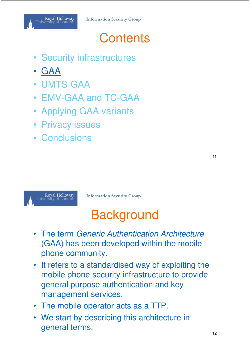#### **Contents**

- Security infrastructures
- GAA
- UMTS-GAA
- EMV-GAA and TC-GAA
- Applying GAA variants
- Privacy issues
- Conclusions



**Information Security Group**

#### **Background**

- The term Generic Authentication Architecture (GAA) has been developed within the mobile phone community.
- It refers to a standardised way of exploiting the mobile phone security infrastructure to provide general purpose authentication and key management services.
- The mobile operator acts as a TTP.
- We start by describing this architecture in general terms.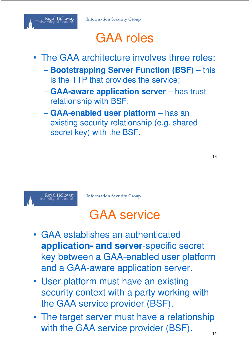

#### GAA roles

- The GAA architecture involves three roles:
	- **Bootstrapping Server Function (BSF)** this is the TTP that provides the service;
	- **GAA-aware application server** has trust relationship with BSF;
	- **GAA-enabled user platform** has an existing security relationship (e.g. shared secret key) with the BSF.



**Information Security Group**

#### GAA service

- GAA establishes an authenticated **application- and server**-specific secret key between a GAA-enabled user platform and a GAA-aware application server.
- User platform must have an existing security context with a party working with the GAA service provider (BSF).
- The target server must have a relationship with the GAA service provider (BSF). 14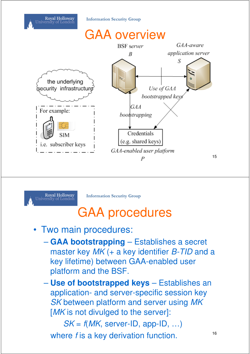

Royal Holloway<br>Jniversity of London

**Information Security Group**

#### GAA procedures

- Two main procedures:
	- **GAA bootstrapping** Establishes a secret master key MK (+ a key identifier B-TID and a key lifetime) between GAA-enabled user platform and the BSF.
	- **Use of bootstrapped keys** Establishes an application- and server-specific session key SK between platform and server using MK [MK is not divulged to the server]:

 $SK = f(MK, server-ID, app-ID, ...)$ where  $f$  is a key derivation function.  $16$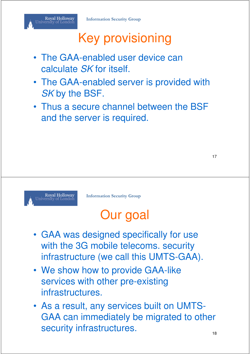### Key provisioning

- The GAA-enabled user device can calculate SK for itself.
- The GAA-enabled server is provided with SK by the BSF.
- Thus a secure channel between the BSF and the server is required.



**Information Security Group**

## Our goal

- GAA was designed specifically for use with the 3G mobile telecoms. security infrastructure (we call this UMTS-GAA).
- We show how to provide GAA-like services with other pre-existing infrastructures.
- As a result, any services built on UMTS-GAA can immediately be migrated to other security infrastructures.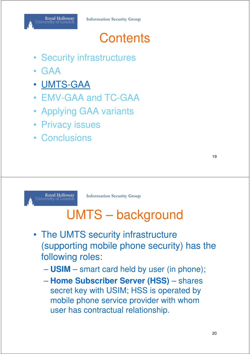

#### **Contents**

- Security infrastructures
- GAA
- UMTS-GAA
- EMV-GAA and TC-GAA
- Applying GAA variants
- Privacy issues
- Conclusions

Royal Holloway<br>University of London

**Information Security Group**

#### UMTS – background

- The UMTS security infrastructure (supporting mobile phone security) has the following roles:
	- **USIM** smart card held by user (in phone);
	- **Home Subscriber Server (HSS)** shares secret key with USIM; HSS is operated by mobile phone service provider with whom user has contractual relationship.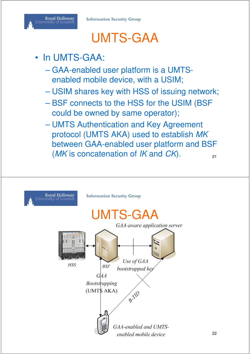

#### UMTS-GAA

- In UMTS-GAA:
	- GAA-enabled user platform is a UMTSenabled mobile device, with a USIM;
	- USIM shares key with HSS of issuing network;
	- BSF connects to the HSS for the USIM (BSF could be owned by same operator);
	- UMTS Authentication and Key Agreement protocol (UMTS AKA) used to establish MK between GAA-enabled user platform and BSF (*MK* is concatenation of  $IK$  and  $CK$ ).

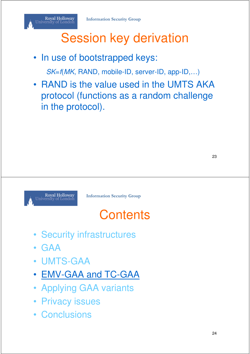#### Royal Holloway<br>University of London

#### Session key derivation

• In use of bootstrapped keys:

SK=f(MK, RAND, mobile-ID, server-ID, app-ID,…)

• RAND is the value used in the UMTS AKA protocol (functions as a random challenge in the protocol).



**Information Security Group**

#### **Contents**

- Security infrastructures
- GAA
- UMTS-GAA
- EMV-GAA and TC-GAA
- Applying GAA variants
- Privacy issues
- Conclusions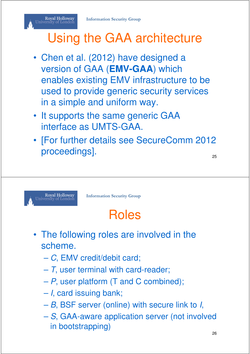#### Royal Holloway<br>University of London

#### Using the GAA architecture

- Chen et al. (2012) have designed a version of GAA (**EMV-GAA**) which enables existing EMV infrastructure to be used to provide generic security services in a simple and uniform way.
- It supports the same generic GAA interface as UMTS-GAA.
- [For further details see SecureComm 2012 proceedings]. 25



**Information Security Group**

## Roles

- The following roles are involved in the scheme.
	- C, EMV credit/debit card;
	- $-7$ , user terminal with card-reader;
	- P, user platform (T and C combined);
	- I, card issuing bank;
	- B, BSF server (online) with secure link to I,
	- S, GAA-aware application server (not involved in bootstrapping)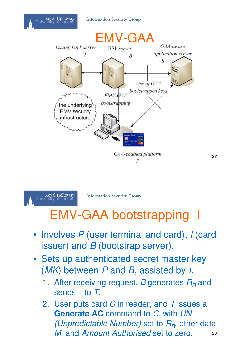#### **Information Security Group**

Royal Holloway<br>University of London



27



**Information Security Group**

#### EMV-GAA bootstrapping

- Involves P (user terminal and card), I (card issuer) and  $B$  (bootstrap server).
- Sets up authenticated secret master key (MK) between P and B, assisted by I.
	- 1. After receiving request, B generates  $R_B$  and sends it to T.
	- 2. User puts card  $C$  in reader, and  $T$  issues a **Generate AC** command to C, with UN (Unpredictable Number) set to  $R_B$ , other data M, and Amount Authorised set to zero. 28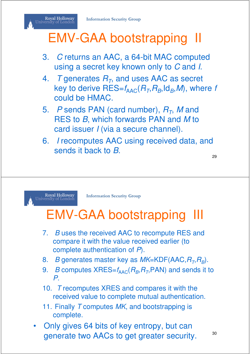# Royal Holloway<br>University of London

#### EMV-GAA bootstrapping II

- 3. C returns an AAC, a 64-bit MAC computed using a secret key known only to C and I.
- 4. T generates  $R_T$ , and uses AAC as secret key to derive  $\mathsf{RES}{=} \mathit{f}_{\mathsf{AAC}}(R_{\mathit{T}}, R_{\mathit{B}}, \mathsf{Id}_{\mathit{B}}, \mathit{M}),$  where  $f$ could be HMAC.
- 5.  $P$  sends PAN (card number),  $R_T$ , M and RES to B, which forwards PAN and M to card issuer *I* (via a secure channel).
- 6. I recomputes AAC using received data, and sends it back to B.

29



**Information Security Group**

#### **EMV-GAA bootstrapping**

- 7. B uses the received AAC to recompute RES and compare it with the value received earlier (to complete authentication of P).
- 8. *B* generates master key as *MK*=KDF(AAC, $R_{\textit{T}}$ , $R_{\textit{B}}$ ).
- 9. *B* computes  $XRES=f_{\text{AAC}}(R_B, R_T, PAN)$  and sends it to P.
- 10. T recomputes XRES and compares it with the received value to complete mutual authentication.
- 11. Finally T computes MK, and bootstrapping is complete.
- Only gives 64 bits of key entropy, but can generate two AACs to get greater security. 30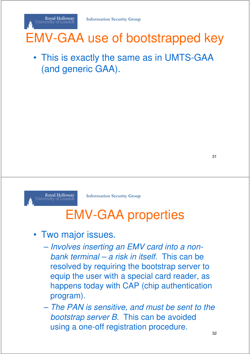### EMV-GAA use of bootstrapped key

• This is exactly the same as in UMTS-GAA (and generic GAA).

31



Royal Holloway<br>University of London

**Information Security Group**

#### EMV-GAA properties

#### • Two major issues.

- Involves inserting an EMV card into a nonbank terminal – a risk in itself. This can be resolved by requiring the bootstrap server to equip the user with a special card reader, as happens today with CAP (chip authentication program).
- The PAN is sensitive, and must be sent to the bootstrap server B. This can be avoided using a one-off registration procedure.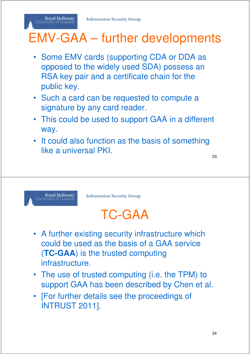#### EMV-GAA – further developments

- Some EMV cards (supporting CDA or DDA as opposed to the widely used SDA) possess an RSA key pair and a certificate chain for the public key.
- Such a card can be requested to compute a signature by any card reader.
- This could be used to support GAA in a different way.
- It could also function as the basis of something like a universal PKI.

33



Royal Holloway<br>University of London

**Information Security Group**

#### TC-GAA

- A further existing security infrastructure which could be used as the basis of a GAA service (**TC-GAA**) is the trusted computing infrastructure.
- The use of trusted computing (i.e. the TPM) to support GAA has been described by Chen et al.
- [For further details see the proceedings of INTRUST 2011].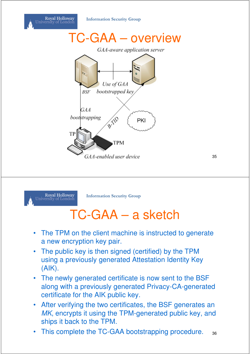



**Information Security Group**

#### TC-GAA – a sketch

- The TPM on the client machine is instructed to generate a new encryption key pair.
- The public key is then signed (certified) by the TPM using a previously generated Attestation Identity Key (AIK).
- The newly generated certificate is now sent to the BSF along with a previously generated Privacy-CA-generated certificate for the AIK public key.
- After verifying the two certificates, the BSF generates an MK, encrypts it using the TPM-generated public key, and ships it back to the TPM.
- This complete the TC-GAA bootstrapping procedure. 36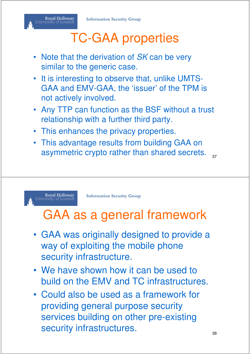### TC-GAA properties

- Note that the derivation of SK can be very similar to the generic case.
- It is interesting to observe that, unlike UMTS-GAA and EMV-GAA, the 'issuer' of the TPM is not actively involved.
- Any TTP can function as the BSF without a trust relationship with a further third party.
- This enhances the privacy properties.
- This advantage results from building GAA on asymmetric crypto rather than shared secrets.  $_{37}$

#### Ro<mark>yal Holloway</mark><br>University of London

**Information Security Group**

#### GAA as a general framework

- GAA was originally designed to provide a way of exploiting the mobile phone security infrastructure.
- We have shown how it can be used to build on the EMV and TC infrastructures.
- Could also be used as a framework for providing general purpose security services building on other pre-existing security infrastructures.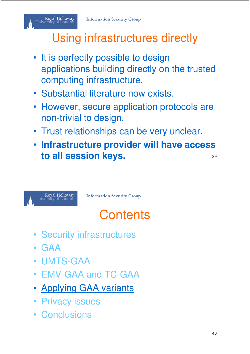#### Royal Holloway<br>University of London

#### Using infrastructures directly

- It is perfectly possible to design applications building directly on the trusted computing infrastructure.
- Substantial literature now exists.
- However, secure application protocols are non-trivial to design.
- Trust relationships can be very unclear.
- **Infrastructure provider will have access to all session keys.** 39



**Information Security Group**

#### **Contents**

- Security infrastructures
- GAA
- UMTS-GAA
- EMV-GAA and TC-GAA
- Applying GAA variants
- Privacy issues
- Conclusions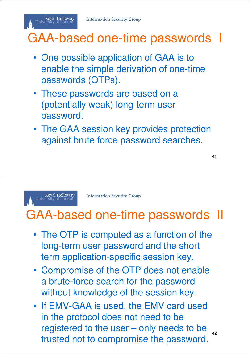### GAA-based one-time passwords I

- One possible application of GAA is to enable the simple derivation of one-time passwords (OTPs).
- These passwords are based on a (potentially weak) long-term user password.
- The GAA session key provides protection against brute force password searches.

41



Royal Holloway<br>University of London

**Information Security Group**

#### GAA-based one-time passwords II

- The OTP is computed as a function of the long-term user password and the short term application-specific session key.
- Compromise of the OTP does not enable a brute-force search for the password without knowledge of the session key.
- If EMV-GAA is used, the EMV card used in the protocol does not need to be registered to the user – only needs to be trusted not to compromise the password.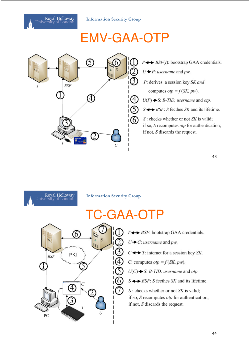**Information Security Group**

#### EMV-GAA-OTP





**BSF** 

PC

 $\circled6$ 

PKI

**Information Security Group**

#### TC-GAA-OTP

2

Ā

3

6

I

- $T \leftarrow$  *BSF*: bootstrap GAA credentials.
- $U\bigstar C$ : *username* and *pw*.
- $C \leftrightarrow T$ : interact for a session key SK.
- C: computes  $otp = f(SK, pw)$ .
- $U(C) \rightarrow S$ : *B-TID*, *username* and *otp*.
- $S \leftrightarrow BSF$ : S fecthes SK and its lifetime.

 $S$ : checks whether or not  $SK$  is valid; if so,  $S$  recomputes  $otp$  for authentication; if not,  $S$  discards the request.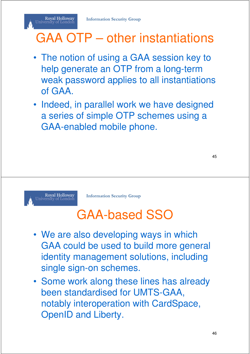#### GAA OTP – other instantiations

- The notion of using a GAA session key to help generate an OTP from a long-term weak password applies to all instantiations of GAA.
- Indeed, in parallel work we have designed a series of simple OTP schemes using a GAA-enabled mobile phone.



Royal Holloway<br>University of London

**Information Security Group**

#### GAA-based SSO

- We are also developing ways in which GAA could be used to build more general identity management solutions, including single sign-on schemes.
- Some work along these lines has already been standardised for UMTS-GAA, notably interoperation with CardSpace, OpenID and Liberty.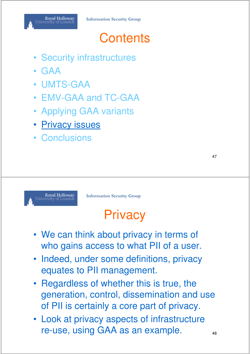#### **Contents**

- Security infrastructures
- GAA
- UMTS-GAA
- EMV-GAA and TC-GAA
- Applying GAA variants
- Privacy issues
- Conclusions



**Information Security Group**

### **Privacy**

- We can think about privacy in terms of who gains access to what PII of a user.
- Indeed, under some definitions, privacy equates to PII management.
- Regardless of whether this is true, the generation, control, dissemination and use of PII is certainly a core part of privacy.
- Look at privacy aspects of infrastructure re-use, using GAA as an example.  $\frac{48}{48}$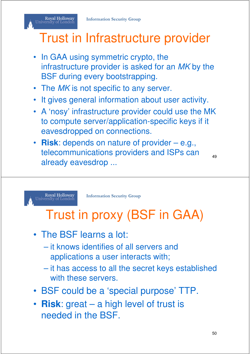## Trust in Infrastructure provider

- In GAA using symmetric crypto, the infrastructure provider is asked for an MK by the BSF during every bootstrapping.
- The MK is not specific to any server.
- It gives general information about user activity.
- A 'nosy' infrastructure provider could use the MK to compute server/application-specific keys if it eavesdropped on connections.
- **Risk**: depends on nature of provider e.g., telecommunications providers and ISPs can already eavesdrop ...

49

Royal Holloway<br>University of London

Royal Holloway<br>University of London

**Information Security Group**

#### Trust in proxy (BSF in GAA)

- The BSF learns a lot:
	- it knows identifies of all servers and applications a user interacts with;
	- it has access to all the secret keys established with these servers.
- BSF could be a 'special purpose' TTP.
- **Risk**: great a high level of trust is needed in the BSF.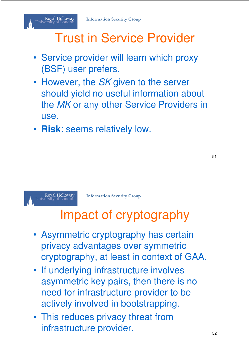#### Trust in Service Provider

- Service provider will learn which proxy (BSF) user prefers.
- However, the SK given to the server should yield no useful information about the MK or any other Service Providers in use.
- **Risk**: seems relatively low.



**Information Security Group**

#### Impact of cryptography

- Asymmetric cryptography has certain privacy advantages over symmetric cryptography, at least in context of GAA.
- If underlying infrastructure involves asymmetric key pairs, then there is no need for infrastructure provider to be actively involved in bootstrapping.
- This reduces privacy threat from infrastructure provider.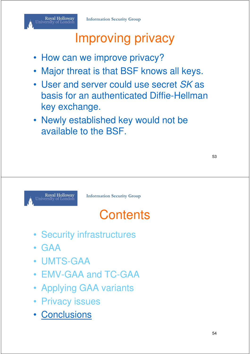#### Improving privacy

- How can we improve privacy?
- Major threat is that BSF knows all keys.
- User and server could use secret SK as basis for an authenticated Diffie-Hellman key exchange.
- Newly established key would not be available to the BSF.



**Information Security Group**

#### **Contents**

- Security infrastructures
- GAA
- UMTS-GAA
- EMV-GAA and TC-GAA
- Applying GAA variants
- Privacy issues
- Conclusions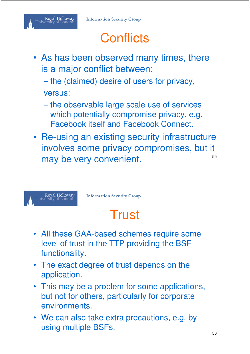### **Conflicts**

- As has been observed many times, there is a major conflict between:
	- the (claimed) desire of users for privacy, versus:
	- the observable large scale use of services which potentially compromise privacy, e.g. Facebook itself and Facebook Connect.
- Re-using an existing security infrastructure involves some privacy compromises, but it may be very convenient.



**Information Security Group**

## **Trust**

- All these GAA-based schemes require some level of trust in the TTP providing the BSF functionality.
- The exact degree of trust depends on the application.
- This may be a problem for some applications, but not for others, particularly for corporate environments.
- We can also take extra precautions, e.g. by using multiple BSFs.